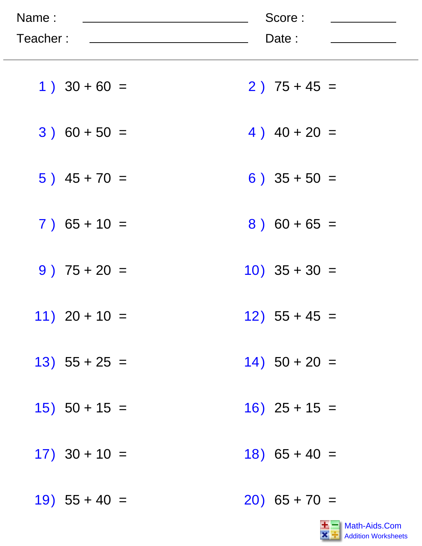| Name:<br>Teacher: | Score:<br>Date : |
|-------------------|------------------|
| $1)$ 30 + 60 =    | $2)$ 75 + 45 =   |
| $3) 60 + 50 =$    | 4) $40 + 20 =$   |
| $5)$ 45 + 70 =    | $6)$ 35 + 50 =   |
| $7)$ 65 + 10 =    | $8) 60 + 65 =$   |
| $9)$ 75 + 20 =    | $10)$ 35 + 30 =  |
| $11)$ 20 + 10 =   | $12)$ 55 + 45 =  |
| $13)$ 55 + 25 =   | $14)$ 50 + 20 =  |
| $15)$ 50 + 15 =   | $16)$ 25 + 15 =  |
| $17)$ 30 + 10 =   | $18)$ 65 + 40 =  |
| $19)$ 55 + 40 =   | $20)$ 65 + 70 =  |

 $\sim$